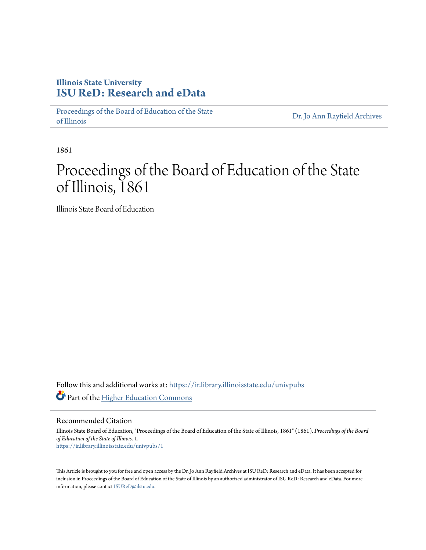## **Illinois State University [ISU ReD: Research and eData](https://ir.library.illinoisstate.edu?utm_source=ir.library.illinoisstate.edu%2Funivpubs%2F1&utm_medium=PDF&utm_campaign=PDFCoverPages)**

[Proceedings of the Board of Education of the State](https://ir.library.illinoisstate.edu/univpubs?utm_source=ir.library.illinoisstate.edu%2Funivpubs%2F1&utm_medium=PDF&utm_campaign=PDFCoverPages) [of Illinois](https://ir.library.illinoisstate.edu/univpubs?utm_source=ir.library.illinoisstate.edu%2Funivpubs%2F1&utm_medium=PDF&utm_campaign=PDFCoverPages)

[Dr. Jo Ann Rayfield Archives](https://ir.library.illinoisstate.edu/arch?utm_source=ir.library.illinoisstate.edu%2Funivpubs%2F1&utm_medium=PDF&utm_campaign=PDFCoverPages)

1861

## Proceedings of the Board of Education of the State of Illinois, 1861

Illinois State Board of Education

Follow this and additional works at: [https://ir.library.illinoisstate.edu/univpubs](https://ir.library.illinoisstate.edu/univpubs?utm_source=ir.library.illinoisstate.edu%2Funivpubs%2F1&utm_medium=PDF&utm_campaign=PDFCoverPages) Part of the [Higher Education Commons](http://network.bepress.com/hgg/discipline/1245?utm_source=ir.library.illinoisstate.edu%2Funivpubs%2F1&utm_medium=PDF&utm_campaign=PDFCoverPages)

Recommended Citation

Illinois State Board of Education, "Proceedings of the Board of Education of the State of Illinois, 1861" (1861). *Proceedings of the Board of Education of the State of Illinois*. 1. [https://ir.library.illinoisstate.edu/univpubs/1](https://ir.library.illinoisstate.edu/univpubs/1?utm_source=ir.library.illinoisstate.edu%2Funivpubs%2F1&utm_medium=PDF&utm_campaign=PDFCoverPages)

This Article is brought to you for free and open access by the Dr. Jo Ann Rayfield Archives at ISU ReD: Research and eData. It has been accepted for inclusion in Proceedings of the Board of Education of the State of Illinois by an authorized administrator of ISU ReD: Research and eData. For more information, please contact [ISUReD@ilstu.edu.](mailto:ISUReD@ilstu.edu)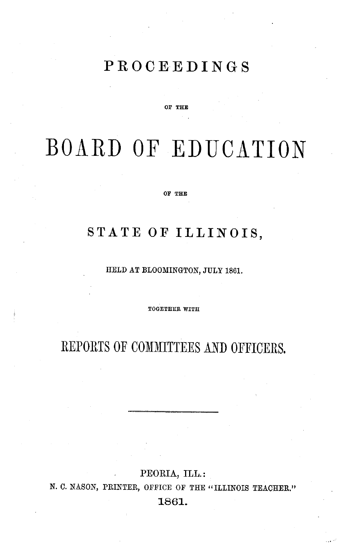## **PROCEEDINGS**

**OF THE**

# BOARD **OF** EDUCATION

**OF THE**

## **STATE OF ILLINOIS,**

HELD AT BLOOMINGTON, JULY 1861.

**TOGETHER WITH**

## REPORTS OF COMMITTEES AND OFFICERS.

PEORIA, ILL.: N. C. NASON, PRINTER, OFFICE OF THE "ILLINOIS TEACHER." **1861.**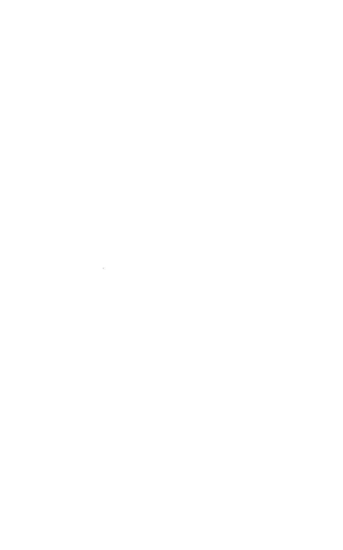$\mathcal{L}^{\text{max}}_{\text{max}}$  and  $\mathcal{L}^{\text{max}}_{\text{max}}$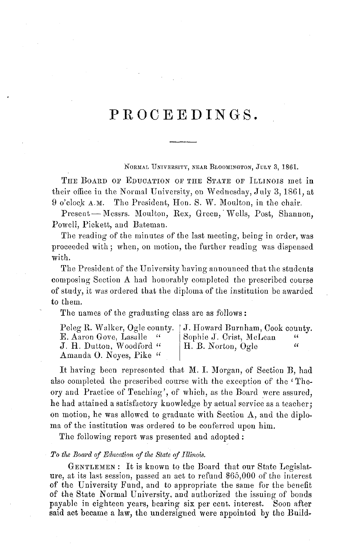### **PROCEEDINGS.**

**NORMAL UNIVERSITY, NEAR BLOOMINGTON, JULY 3,** 1861.

THE BOARD OF EDUCATION OF THE STATE OF **ILLINOIS met** in their office in the Normal University, on Wednesday, July 3, 1861, at 9 o'clock A.M. The President, Hon. S. W. Moulton, in the chair.

Present- Messrs. Moulton, Rex, Green, Wells, Post, Shannon, Powell, Pickett, and Bateman.

The reading of the minutes of the last meeting, being in order, was proceeded with; when, on motion, the further reading was dispensed with.

The President of the University having announced that the students composing Section A had honorably completed the prescribed course of study, it was ordered that the diploma of the institution be awarded to them.

The names of the graduating class are as follows:

| Peleg R. Walker, Ogle county.   J. Howard Burnham, Cook county. |                         |  |
|-----------------------------------------------------------------|-------------------------|--|
| E. Aaron Gove, Lasalle "                                        | Sophie J. Crist, McLean |  |
| J. H. Dutton, Woodford "                                        | H. B. Norton, Ogle      |  |
| Amanda O. Noyes, Pike "                                         |                         |  |

It having been represented that M. I. Morgan, of Section B, had also completed the prescribed course with the exception of the ' Theory and Practice of Teaching', of which, as the Board were assured, he had attained a satisfactory knowledge by actual service as a teacher; on motion, he was allowed to graduate with Section A, and the diploma of the institution was ordered to be conferred upon him.

The following report was presented and adopted:

#### *To the Board of Edlcation of the State of Illinois.*

GENTLEMEN : It is known to the Board that our State Legislature, at its last session, passed an act to refund \$65,000 of the interest of the University Fund, and to appropriate the same for the benefit of the State Normal University, and authorized the issuing of bonds payable in eighteen years, bearing six per cent. interest. Soon after said act became a law, the undersigned were appointed by the Build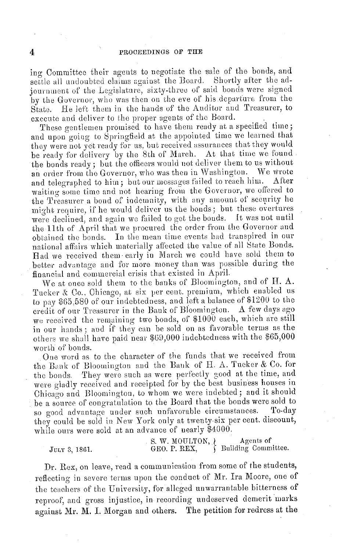ing Committee their agents to negotiate the sale of the bonds, and settle all undoubted claims against the Board. Shortly after the adjournment of the Legislature, sixty-three of said bonds were signed by the Governor, who was then on the eve of his.departure from the State. He left them in the hands of the Auditor and Treasurer, to execute and deliver to the proper agents of the Board.

These gentlemen promised to have them ready at a specified time; and upon going to Springfield at the appointed time we learned that they were not yet ready for us, but received assurances that they would be ready for delivery by the 8th of March. At that time we found the bonds ready; but the officers would not deliver them to us without<br>an order from the Governor, who was then in Washington. We wrote an order from the Governor, who was then in Washington. We wrote<br>and tolographed to him, but our messages failed to reach him. After and telegraphed to him; but our messages failed to reach him. waiting some time and not hearing from the Governor, we offered to the Treasurer a bond of indemnity, with any amount of security he might require, if he would deliver us the bonds; but these overtures were declined, and again we failed to get the bonds. It was not until the 11th of April that we procured the order from the Governor and obtained the bonds. In the mean time events had transpired in our national affairs which materially affected the value of all State Bonds. Had we received them early in March we could have sold them to better advantage and for more money than was possible during the financial and commercial crisis that existed in April.

We at once sold them to the banks of Bloomington, and of H. A. Tucker & Co., Chicago, at six per cent. premium, which enabled us to pay \$65,580 of our indebtedness, and left a balance of \$1200 to the credit of our Treasurer in the Bank of Bloomington. A few days ago we received the remaining two bonds, of \$1000 each, which are still in our hands ; and if they can be sold on as favorable terms as the others we shall have paid near \$69,000 indebtedness with the \$65,000 worth of bonds.

One word as to the character of the funds that we received from the Bank of Bloomington and the Bank of H. A. Tucker & Co. for the bonds. They were such as were perfectly good at the time, and were gladly received and receipted for by the best business houses in Chicago and Bloomington, to whom we were indebted; and it should be a source of congratulation to the Board that the bonds were sold to so good adventage under such unfavorable circumstances. To-day so good advantage under such unfavorable circumstances. they could be sold in New York only at twenty-six per cent. discount, while ours were sold at an advance of nearly \$4000.

S. W. MOULTON, } Agents of JULY 3, 1861. GEO. P. REX, ) Building Committee.

Dr. Rex, on leave, read a communication from some of the students, reflecting in severe terms upon the conduct of Mr. Ira Moore, one of the teachers of the University, for alleged unwarrantable bitterness of reproof, and gross injustice, in recording undeserved demerit marks against Mr. M. I. Morgan and others. The petition for redress at the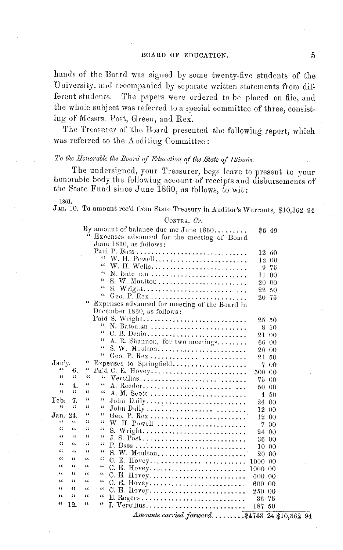#### **BOARD OF EDUCATION.** 5

hands of the Board was signed by some twenty-five students of the University, and accompanied by separate written statements from different students. The papers were ordered to be placed on file, and the whole subject was referred to a special committee of three, consisting of Messrs. Post, Green, and Rex.

The Treasurer of the Board presented the following report, which was referred to the Auditing Committee:

#### *To the Honorable* the *Board (f Edrw.ation of the State of Illinois.*

The undersigned, your Treasurer, begs leave to present to your honorable body the following account of receipts and disbursements of the State Fund since June 1860, as follows, to wit:

1861.

Jan. 10. To amount rec'd from State Treasury in Auditor's Warrants, \$10,362 94

#### CONTrA, *Cr.*

|                      |                         |                            | By amount of balance due me June $1860$<br>Expenses advanced for the meeting of Board<br>June 1860, as follows: | \$649   |                 |
|----------------------|-------------------------|----------------------------|-----------------------------------------------------------------------------------------------------------------|---------|-----------------|
|                      |                         |                            |                                                                                                                 |         | 12 50           |
|                      |                         |                            | W. H. Powell                                                                                                    | 12      | $^{00}$         |
|                      |                         |                            | 46                                                                                                              | 9       | 75              |
|                      |                         |                            | $\mathfrak{c}$<br>N. Bateman                                                                                    | 11      | 00              |
|                      |                         |                            | 66                                                                                                              | 20      | $_{00}$         |
|                      |                         |                            | $\mathfrak{c}$<br>S. Wright                                                                                     | 22      | 50              |
|                      |                         |                            | 44<br>Geo. P. Rex                                                                                               | 20 75   |                 |
|                      |                         |                            | " Expenses advanced for meeting of the Board in                                                                 |         |                 |
|                      |                         |                            | December 1860, as follows:                                                                                      |         |                 |
|                      |                         |                            | Paid S. Wright                                                                                                  | 25 50   |                 |
|                      |                         |                            | 44<br>N. Bateman                                                                                                | 8.      | -50             |
|                      |                         |                            | $\epsilon$<br>C. B. Denio                                                                                       | 21.     | $^{00}$         |
|                      |                         |                            | 44<br>A. R. Shannon, for two meetings                                                                           | 66 00   |                 |
|                      |                         |                            | $\iota\iota$<br>S. W. Moulton                                                                                   | 20.00   |                 |
|                      |                         |                            | ш<br>Geo. P. Rex                                                                                                | 21      | 50              |
| Jan'y.               |                         | "                          | Expenses to Springfield                                                                                         | 7       | 00              |
| 46<br>$\iota\iota$   | 6.<br>$\iota$           | "<br>$\iota$               | Paid C. E. Hovey                                                                                                | 500     | 00 <sup>2</sup> |
| 66                   |                         | $\mathfrak{c}$             | ٤ï.<br>Vercilius                                                                                                | 75      | 00              |
| $\epsilon$           | 4.<br>44                | $\mathbf{G}$               | $\mathcal{L}$                                                                                                   | 50 00   |                 |
|                      |                         |                            | $\mathfrak{c}$                                                                                                  | 4       | 50              |
| Feb.<br>44           | 7.<br>w                 | $\mathbf{G}$<br>$\epsilon$ | ٤٤<br>John Daily                                                                                                | 24      | 00              |
|                      |                         | $\alpha$                   | 44                                                                                                              | 12      | $^{00}$         |
| Jan.<br>Łś.          | 24.<br>C C              | $\epsilon$                 | $\omega$                                                                                                        | 12      | 00              |
| $\epsilon$           | 44                      | $\epsilon$                 | $\mathfrak{c}$<br>W. H. Powell<br>46                                                                            | 7       | $^{00}$         |
| $\mathbf{G}$         | 66                      | $\ddot{\phantom{a}}$       | S. Wright<br>$\mathfrak{c}$                                                                                     | 24      | $^{00}$         |
| $\alpha$             | 66                      | 44                         | $\epsilon$                                                                                                      | 36 00   |                 |
| $\epsilon$           | 44                      | $\epsilon$                 | 66                                                                                                              | 10 00   |                 |
| $\ddot{\phantom{a}}$ | $\alpha$                | $\overline{\mathbf{a}}$    | S. W. Moulton<br>44                                                                                             | 20-00   |                 |
| "                    | 66.                     | $\mathfrak{c}$             | C. E. Hovey<br>$\left\langle \right\rangle$                                                                     | 1000 00 |                 |
| 44                   | u                       | $\alpha$                   | C. E. Hovey<br>$\epsilon$                                                                                       | 1000 00 |                 |
| $\epsilon$           | $\overline{1}$          | $\epsilon$                 | С. Е. Ноvеу<br>$\cdots$                                                                                         | 600     | 00              |
| $\epsilon$           | $\overline{\mathbf{a}}$ | w                          | C. E. Hovey<br>66                                                                                               | 600     | 00              |
| $\ddot{\phantom{a}}$ | $\mathbf{u}$            | $\mathfrak{c}$             | C. E. Hovey<br>46                                                                                               | 250     | 00              |
| 44                   |                         | 44                         | $\epsilon$                                                                                                      | 36      | 75              |
|                      | 12.                     |                            | I. Vercilius                                                                                                    | 187.    | 50              |

*Aniounts carried forward* ......... \$4733 24 \$10,362 94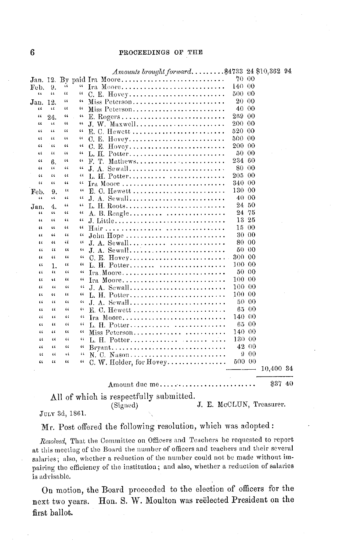#### PROCEEDINGS OF THE

|                              |                              |                              |                    | Amounts brought forward \$4733 24 \$10,362 94 |            |           |  |
|------------------------------|------------------------------|------------------------------|--------------------|-----------------------------------------------|------------|-----------|--|
|                              |                              |                              |                    | Jan. 12. By paid Ira Moore                    | 70-00      |           |  |
| Feb.                         | 9.                           | ٤¢                           | 44                 | Ira Moore,                                    | 140-00     |           |  |
| 66                           | $\epsilon$                   | "                            | 44                 | C. E. Hovey                                   | 500-00     |           |  |
| Jan.                         | 12.                          | 44                           | "                  | Miss Peterson                                 | 20-00      |           |  |
| $\left\langle \right\rangle$ | $\epsilon$                   | 11                           | 66                 | Miss Peterson                                 | 40 00      |           |  |
| 44                           | 24.                          | 44                           | $\epsilon$         |                                               | 269 00     |           |  |
| $\mathfrak{c}$               | $\ddotsc$                    | $\ddot{\phantom{1}}$         | 44                 | J. W. Maxwell                                 | 200 00     |           |  |
| ٤í                           | $\ddotsc$                    | 44                           | "                  | $E. C.$ Hewett                                | 520 00     |           |  |
| $\ddotsc$                    | "                            | 44                           | 46                 | C. E. Hovey                                   | 500-00     |           |  |
| $\ddot{\phantom{1}}$         | 44                           | "                            | 44                 | C. E. Hovey                                   | 200-00     |           |  |
| $\ddotsc$                    | 44                           | $\ddotsc$                    | 44                 | L. H. Potter                                  | 50 OO      |           |  |
| $\epsilon$                   | 6.                           | $\epsilon$                   | 44                 | F. T. Mathews                                 | 234 60     |           |  |
| $\epsilon$                   | 44                           | $\epsilon$                   | 46                 | J. A. Sewall                                  | 80 00      |           |  |
| 44                           | $\alpha$                     | $\iota\iota$                 | 44                 | L. H. Potter                                  | 205 00     |           |  |
| $\mathfrak{c}$               | $\left\langle \right\rangle$ | $\left\langle \right\rangle$ | "                  | Ira Moore                                     | 340-00     |           |  |
| Feb.                         | 9.                           | $\mathfrak{c}$               | 44                 | E. C. Hewett                                  | 130 00     |           |  |
| 44                           | 44                           | 44                           | "                  | J. A. Sewall                                  | 40 00      |           |  |
| Jan.                         | 4.                           | "                            | 44                 |                                               | 24 50      |           |  |
| "                            | $\cdots$                     | 66                           | 44                 | A. B. Reagle                                  | 24 75      |           |  |
| $\ddot{\phantom{1}}$         | "                            | 44                           | 44                 | J. Little                                     | $13\ \ 25$ |           |  |
| 11                           | $\ddot{\phantom{a}}$         | $\ddot{\phantom{1}}$         | 44                 |                                               | $15\ \ 00$ |           |  |
| 44                           | 44                           | $^{4.6}$                     | 44                 | John Hope                                     | 30 00      |           |  |
| 11                           | $\ddot{\phantom{1}}$         | 44                           | ш                  | J. A. Sewall                                  | 80 00      |           |  |
| $\ddot{\phantom{0}}$         | 44                           | $\ddot{\phantom{0}}$         | "                  | J. A. Sewall                                  | 50-00      |           |  |
| $\ddot{\phantom{a}}$         | $\ddot{\phantom{1}}$         | $\mathbf{u}$                 | "                  | C. E. Hovey                                   | 300-00     |           |  |
| $\mathfrak{c}$               | 1.                           | $\mathfrak{c}\mathfrak{c}$   | "                  | L. H. Potter                                  | 100-00     |           |  |
| 46                           | "                            | 44                           | 44                 |                                               | 50 00      |           |  |
| 11                           | 66                           | $\mathbf{u}$                 | 66                 |                                               | 100-00     |           |  |
| 44                           | $\epsilon$                   | $\iota\iota$                 | 66                 | J. A. Sewall                                  | 10000      |           |  |
| $\iota$                      | $\epsilon$                   | 66                           | $\epsilon$         | L. H. Potter                                  | 100 00     |           |  |
| "                            | $\ddotsc$                    | "                            | 44                 | J. A. Sewall                                  | 50 00      |           |  |
| $\epsilon$                   | $\epsilon$                   | $\epsilon$                   | 44                 | E. C. Hewett                                  | 65 00      |           |  |
| $\mathfrak{c}$               | $\sim$                       | 44                           | "                  | Ira Moore                                     | 140-00     |           |  |
| $\epsilon$                   | w                            | $\left($                     | щ                  | L. H. Potter                                  | 65 00      |           |  |
| $\mathfrak{c}$               | $\mathbf{1}$                 | $\ddot{\phantom{1}}$         | 44                 | Miss Peterson                                 | 140-00     |           |  |
| $\mathbf{a}$                 | $\epsilon$                   | $\iota\iota$                 | $\epsilon_{\rm f}$ | L. H. Potter                                  | 130-00     |           |  |
| $\mathfrak{c}$               | 44                           | $\mathbf{c}$                 | "                  |                                               | 42 00      |           |  |
| $\mathbf{u}$                 | $\ddot{\phantom{0}}$         | $\epsilon$                   | 44                 | N. C. Nason                                   | 900        |           |  |
| $\epsilon$                   | 44                           | 46                           | 66                 | C. W. Holder, for Hovey.                      | 500 00     |           |  |
|                              |                              |                              |                    |                                               |            | 10,400 34 |  |
|                              |                              |                              |                    | Amount due me                                 |            | \$3740    |  |
|                              |                              |                              |                    | All of which is respectfully submitted.       |            |           |  |
|                              |                              |                              |                    | J. E. McCLUN, Treasurer.<br>(Signed)          |            |           |  |

JULY 3d, 1861.

Mr. Post offered the following resolution, which was adopted:

Resolved, That the Committee on Officers and Teachers be requested to report at this meeting of the Board the number of officers and teachers and their several salaries; also, whether a reduction of the number could not be made without impairing the efficiency of the institution; and also, whether a reduction of salaries is advisable.

On motion, the Board proceeded to the election of officers for the Hon. S. W. Moulton was reëlected President on the next two years. first ballot.

 $6\phantom{1}6$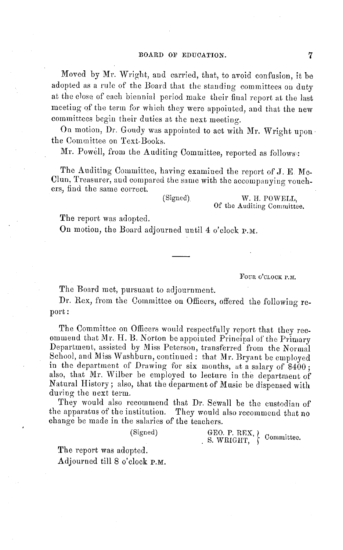Moved by Mr. Wright, and carried, that, to avoid confusion, it be adopted as a rule of' the Board that the standing committees on duty at the close of each biennial period make their final report at the last meeting of the term for which they were appointed, and that the new committees begin their duties at the next meeting.

On motion, Dr. Goudy was appointed to act with Mr. Wright upon. the Committee on Text-Books.

Mr. Powell, from the Auditing Committee, reported as follows:

The Auditing Committee, having examined the report of J. E. Mc-Clun, Treasurer, and compared the same with the accompanying vouchers, find the same correct.

(Signed) W. H. POWELL, Of the Auditing Committee.

The report was adopted.

On motion, the Board adjourned until 4 o'clock P.M.

FouR O'CLOCK **P.M.**

The Board met, pursuant to adjournment.

Dr. Rex, from the Committee on Officers, offered the following report:

The Committee on Officers would respectfully report that they rec- ommend that Mr. H. B. Norton be appointed Principal of the Primary Department, assisted by Miss Peterson, transferred from the Normal School, and Miss Washburn, continued: that Mr. Bryant be employed in the department of Drawing for six months, at a salary of  $$400$ ; also, that Mr. Wilber be employed to lecture in the department of Natural History; also, that the deparment of Music be dispensed with during the next term.

They would also recommend that Dr. Sewall be the custodian of the apparatus of the institution. They would also recommend that no change be made in the salaries of the teachers.

(Signed) GEO. P. REX,  $\overline{C}$  Committee. S. WRIGHT,  $\int$  committee.

The report was adopted. Adjourned till 8 o'clock P.M.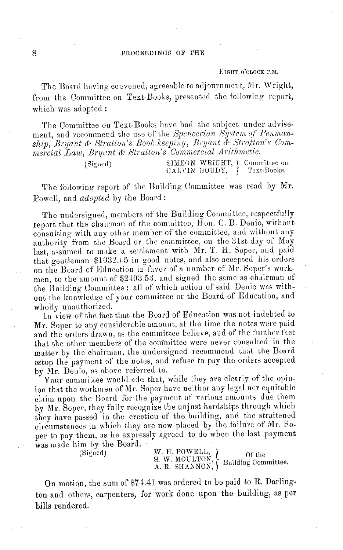#### **PROCEEDINGS OF THE**

EIGHT **O'CLOCK P.M.**

The Board having convened, agreeable to adjournment, Mr. Wright, from the Committee on Text-Books, presented the following report, which was adopted:

The Committee on Text-Books have had the subject under advisement, and recommend the use of the Spencerian System of Penmanship, Bryant & Stratton's Book-keeping, Bryant & Stratton's Com*mercial Law, Bryant* &( *Stratton's Commercial Arithmetic.*

| (Signed) |               | SIMEON WRIGHT, ) Committee on |
|----------|---------------|-------------------------------|
|          | CALVIN GOUDY, | Text-Books.                   |

The following report of the Building Committee was read by Mr. Powell, and *adopted* by the Board:

The undersigned, members of the Building Committee, respectfully report that the chairman of the committee, Hon. C. B. Denio, without consulting with any other member of the committee, and without any authority from the Board or the committee, on the 31st day of May last, assumed to make a settlement with Mr. T. H. Soper, and paid that gentleman \$1032..15 in good notes, and also accepted his orders on the Board of Education in favor of a number of Mr. Soper's workmen, to the amount of \$2403.53, and signed the same as chairman of the Building Committee: all of which action of said. Denio was without the knowledge of your committee or the Board of Education, and wholly unauthorized.

In view of the fact that the Board of Education was not indebted to Mr. Soper to any considerable amount, at the time the notes were paid and the orders drawn, as the committee believe, and of the further fact that the other members of the confinittee were never consulted in the matter by the chairman, the undersigned recommend that the Board estop the payment of the notes, and refuse to pay the orders accepted by Mr. Denio, as above referred to.

Your committee would add that, while they are clearly of the opinion that the workmen of Mr. Soper have neither any legal nor equitable claim upon the Board for the payment of' various amounts due them by Mr. Soper, they fully recognize the unjust hardships through which they have passed in the erection of the building, and the straitened circumstances in which they are now placed by the failure of Mr. Soper to pay them, as he expressly agreed to do when the last payment **was** made him by the Board.

(Sigued) W. H. POWELL, Of the S. W. MOULTON, Of the S. W. MOULTON, Building Committee.

On motion, the sum of \$74.41 was ordered to be paid to R. Darlington and others, carpenters, for work done upon the building, as per bills rendered.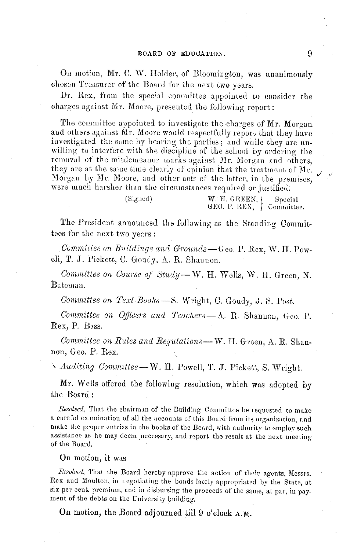On motion, Mr. C. W. Holder, of Bloomington, was unanimously chosen Treasurer of the Board for the next two years.

Dr. Rex, from the special committee appointed to consider the charges against Mr. Moore, presented the following report:

The committee appointed to investigate the charges of Mr. Morgan. and others against Mr. Moore would respectfully report that they have investigated the same by hearing the parties; and while they are unwilling to interfere with the discipline of the school by ordering the removal of the misdemeanor marks against Mr. Morgan and others, they are at the same time clearly of opinion that the treatment of Mr. Morgan by Mr. Moore, and other acts of the latter, in the premises, were much harsher than the circumstances required or justified.

> (Signed) W. H. GREEN,  $)$  Special GEO. P. REX,  $\int$  Committee.

The President announced the following as the Standing Committees for the next two years:

*.Coimmittee on Buildiqgs and Grounds-Geo.* P. Rex, W. H. Powell, T. J. Pickett, C. Goudy, A. R. Shannon.

*Committee on Course of Study--W.* H. Wells, W. H. Green, N. Bateman.

*Conmmittee on Text-Books-S.* Wright, C. Goudy, J. S. Post.

*Committee on Officers and Teachers* - A. R. Shannon, Geo. P. Rex, P. Bass.

*Committee on Rules and Regulations--W.* H. Green, A. R. Shannon, Geo. P. Rex.

*Audititng Committee-W.* H. Powell, T. J. Pickett, S. Wright.

Mr. Wells offered the following resolution, which was adopted by the Board:

*Resolved,* That the chairman of the Building Committee be requested to make a careful examination of all the accounts of this Board from its organization, and make the proper entries in the books of the Board, with authority to employ such assistance as he may deem necessary, and report the result at the next meeting of the Board.

On motion, it was

*Resolved,* That the Board hereby approve the action of their agents, Messrs. Rex and Moulton, in negotiating the bonds lately appropriated by the State, at six per cent. premium, and in disbursing the proceeds of the same, at par, in payment of the debts on the University building.

On motion, the Board adjourned till 9 o'clock A.M.